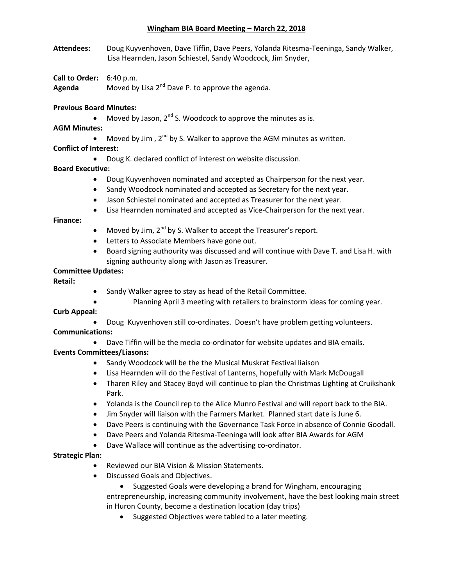#### **Wingham BIA Board Meeting – March 22, 2018**

- **Attendees:** Doug Kuyvenhoven, Dave Tiffin, Dave Peers, Yolanda Ritesma-Teeninga, Sandy Walker, Lisa Hearnden, Jason Schiestel, Sandy Woodcock, Jim Snyder,
- **Call to Order:** 6:40 p.m.

**Agenda** Moved by Lisa 2<sup>nd</sup> Dave P. to approve the agenda.

## **Previous Board Minutes:**

- Moved by Jason,  $2^{nd}$  S. Woodcock to approve the minutes as is.
- **AGM Minutes:**
	- Moved by Jim,  $2^{nd}$  by S. Walker to approve the AGM minutes as written.

# **Conflict of Interest:**

Doug K. declared conflict of interest on website discussion.

### **Board Executive:**

- Doug Kuyvenhoven nominated and accepted as Chairperson for the next year.
- Sandy Woodcock nominated and accepted as Secretary for the next year.
- Jason Schiestel nominated and accepted as Treasurer for the next year.
- Lisa Hearnden nominated and accepted as Vice-Chairperson for the next year.

#### **Finance:**

- $\bullet$  Moved by Jim, 2<sup>nd</sup> by S. Walker to accept the Treasurer's report.
- **•** Letters to Associate Members have gone out.
- Board signing authourity was discussed and will continue with Dave T. and Lisa H. with signing authourity along with Jason as Treasurer.

### **Committee Updates:**

**Retail:**

- Sandy Walker agree to stay as head of the Retail Committee.
- Planning April 3 meeting with retailers to brainstorm ideas for coming year.

#### **Curb Appeal:**

Doug Kuyvenhoven still co-ordinates. Doesn't have problem getting volunteers.

# **Communications:**

Dave Tiffin will be the media co-ordinator for website updates and BIA emails.

#### **Events Committees/Liasons:**

- Sandy Woodcock will be the the Musical Muskrat Festival liaison
- Lisa Hearnden will do the Festival of Lanterns, hopefully with Mark McDougall
- Tharen Riley and Stacey Boyd will continue to plan the Christmas Lighting at Cruikshank Park.
- Yolanda is the Council rep to the Alice Munro Festival and will report back to the BIA.
- Jim Snyder will liaison with the Farmers Market. Planned start date is June 6.
- Dave Peers is continuing with the Governance Task Force in absence of Connie Goodall.
- Dave Peers and Yolanda Ritesma-Teeninga will look after BIA Awards for AGM
- Dave Wallace will continue as the advertising co-ordinator.

#### **Strategic Plan:**

- Reviewed our BIA Vision & Mission Statements.
- Discussed Goals and Objectives.
	- Suggested Goals were developing a brand for Wingham, encouraging entrepreneurship, increasing community involvement, have the best looking main street in Huron County, become a destination location (day trips)
		- Suggested Objectives were tabled to a later meeting.